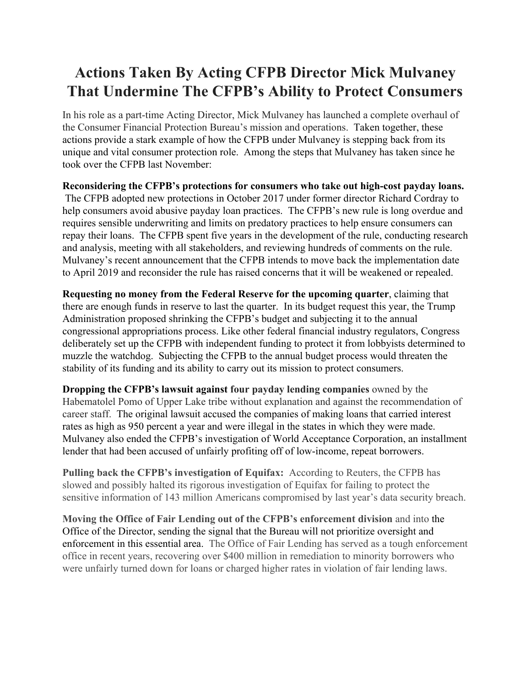## **Actions Taken By Acting CFPB Director Mick Mulvaney That Undermine The CFPB's Ability to Protect Consumers**

In his role as a part-time Acting Director, Mick Mulvaney has launched a complete overhaul of the Consumer Financial Protection Bureau's mission and operations. Taken together, these actions provide a stark example of how the CFPB under Mulvaney is stepping back from its unique and vital consumer protection role. Among the steps that Mulvaney has taken since he took over the CFPB last November:

**Reconsidering the CFPB's protections for consumers who take out high-cost payday loans.** The CFPB adopted new protections in October 2017 under former director Richard Cordray to help consumers avoid abusive payday loan practices. The CFPB's new rule is long overdue and requires sensible underwriting and limits on predatory practices to help ensure consumers can repay their loans. The CFPB spent five years in the development of the rule, conducting research and analysis, meeting with all stakeholders, and reviewing hundreds of comments on the rule. Mulvaney's recent announcement that the CFPB intends to move back the implementation date to April 2019 and reconsider the rule has raised concerns that it will be weakened or repealed.

**Requesting no money from the Federal Reserve for the upcoming quarter**, claiming that there are enough funds in reserve to last the quarter. In its budget request this year, the Trump Administration proposed shrinking the CFPB's budget and subjecting it to the annual congressional appropriations process. Like other federal financial industry regulators, Congress deliberately set up the CFPB with independent funding to protect it from lobbyists determined to muzzle the watchdog. Subjecting the CFPB to the annual budget process would threaten the stability of its funding and its ability to carry out its mission to protect consumers.

**Dropping the CFPB's lawsuit against four payday lending companies** owned by the Habematolel Pomo of Upper Lake tribe without explanation and against the recommendation of career staff. The original lawsuit accused the companies of making loans that carried interest rates as high as 950 percent a year and were illegal in the states in which they were made. Mulvaney also ended the CFPB's investigation of World Acceptance Corporation, an installment lender that had been accused of unfairly profiting off of low-income, repeat borrowers.

**Pulling back the CFPB's investigation of Equifax:** According to Reuters, the CFPB has slowed and possibly halted its rigorous investigation of Equifax for failing to protect the sensitive information of 143 million Americans compromised by last year's data security breach.

**Moving the Office of Fair Lending out of the CFPB's enforcement division** and into the Office of the Director, sending the signal that the Bureau will not prioritize oversight and enforcement in this essential area. The Office of Fair Lending has served as a tough enforcement office in recent years, recovering over \$400 million in remediation to minority borrowers who were unfairly turned down for loans or charged higher rates in violation of fair lending laws.